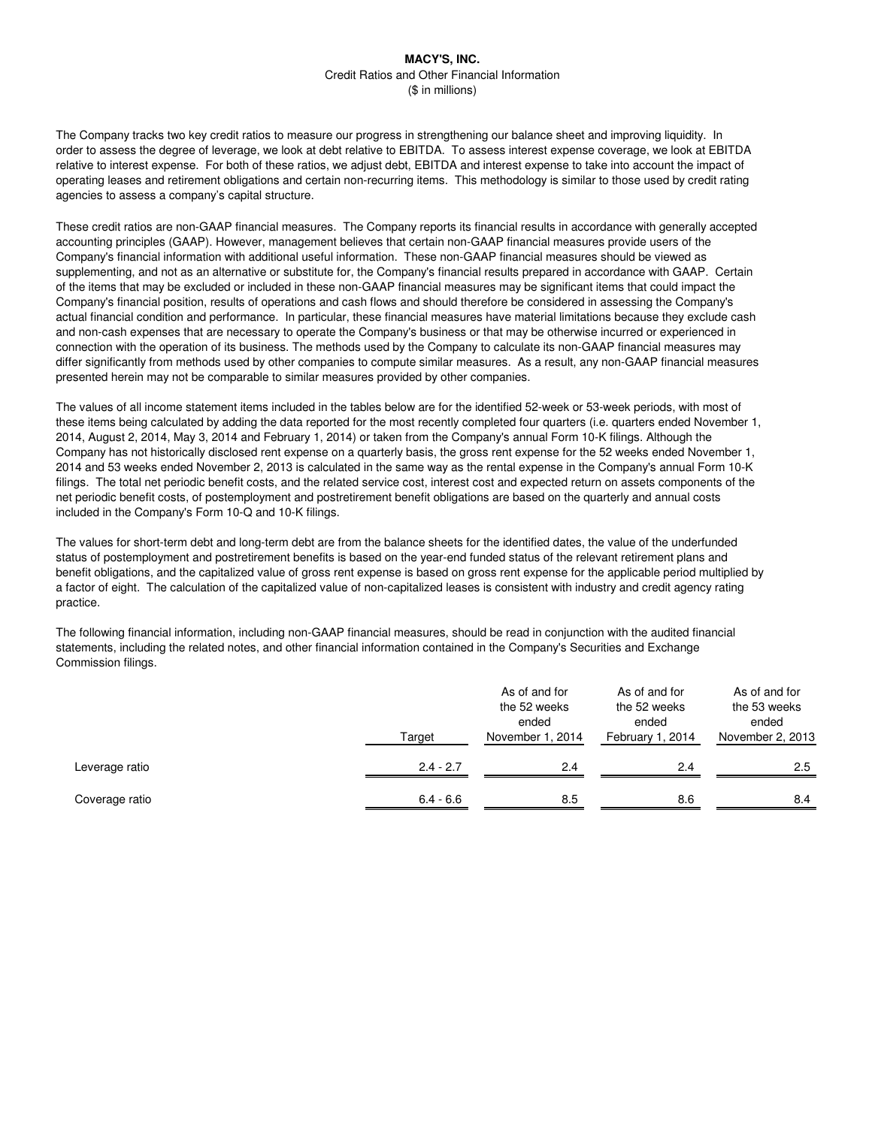The Company tracks two key credit ratios to measure our progress in strengthening our balance sheet and improving liquidity. In order to assess the degree of leverage, we look at debt relative to EBITDA. To assess interest expense coverage, we look at EBITDA relative to interest expense. For both of these ratios, we adjust debt, EBITDA and interest expense to take into account the impact of operating leases and retirement obligations and certain non-recurring items. This methodology is similar to those used by credit rating agencies to assess a company's capital structure.

These credit ratios are non-GAAP financial measures. The Company reports its financial results in accordance with generally accepted accounting principles (GAAP). However, management believes that certain non-GAAP financial measures provide users of the Company's financial information with additional useful information. These non-GAAP financial measures should be viewed as supplementing, and not as an alternative or substitute for, the Company's financial results prepared in accordance with GAAP. Certain of the items that may be excluded or included in these non-GAAP financial measures may be significant items that could impact the Company's financial position, results of operations and cash flows and should therefore be considered in assessing the Company's actual financial condition and performance. In particular, these financial measures have material limitations because they exclude cash and non-cash expenses that are necessary to operate the Company's business or that may be otherwise incurred or experienced in connection with the operation of its business. The methods used by the Company to calculate its non-GAAP financial measures may differ significantly from methods used by other companies to compute similar measures. As a result, any non-GAAP financial measures presented herein may not be comparable to similar measures provided by other companies.

The values of all income statement items included in the tables below are for the identified 52-week or 53-week periods, with most of these items being calculated by adding the data reported for the most recently completed four quarters (i.e. quarters ended November 1, 2014, August 2, 2014, May 3, 2014 and February 1, 2014) or taken from the Company's annual Form 10-K filings. Although the Company has not historically disclosed rent expense on a quarterly basis, the gross rent expense for the 52 weeks ended November 1, 2014 and 53 weeks ended November 2, 2013 is calculated in the same way as the rental expense in the Company's annual Form 10-K filings. The total net periodic benefit costs, and the related service cost, interest cost and expected return on assets components of the net periodic benefit costs, of postemployment and postretirement benefit obligations are based on the quarterly and annual costs included in the Company's Form 10-Q and 10-K filings.

The values for short-term debt and long-term debt are from the balance sheets for the identified dates, the value of the underfunded status of postemployment and postretirement benefits is based on the year-end funded status of the relevant retirement plans and benefit obligations, and the capitalized value of gross rent expense is based on gross rent expense for the applicable period multiplied by a factor of eight. The calculation of the capitalized value of non-capitalized leases is consistent with industry and credit agency rating practice.

The following financial information, including non-GAAP financial measures, should be read in conjunction with the audited financial statements, including the related notes, and other financial information contained in the Company's Securities and Exchange Commission filings.

|                | Target      | As of and for<br>the 52 weeks<br>ended<br>November 1, 2014 | As of and for<br>the 52 weeks<br>ended<br>February 1, 2014 | As of and for<br>the 53 weeks<br>ended<br>November 2, 2013 |  |  |
|----------------|-------------|------------------------------------------------------------|------------------------------------------------------------|------------------------------------------------------------|--|--|
| Leverage ratio | $2.4 - 2.7$ | 2.4                                                        | 2.4                                                        | 2.5                                                        |  |  |
| Coverage ratio | $6.4 - 6.6$ | 8.5                                                        | 8.6                                                        | 8.4                                                        |  |  |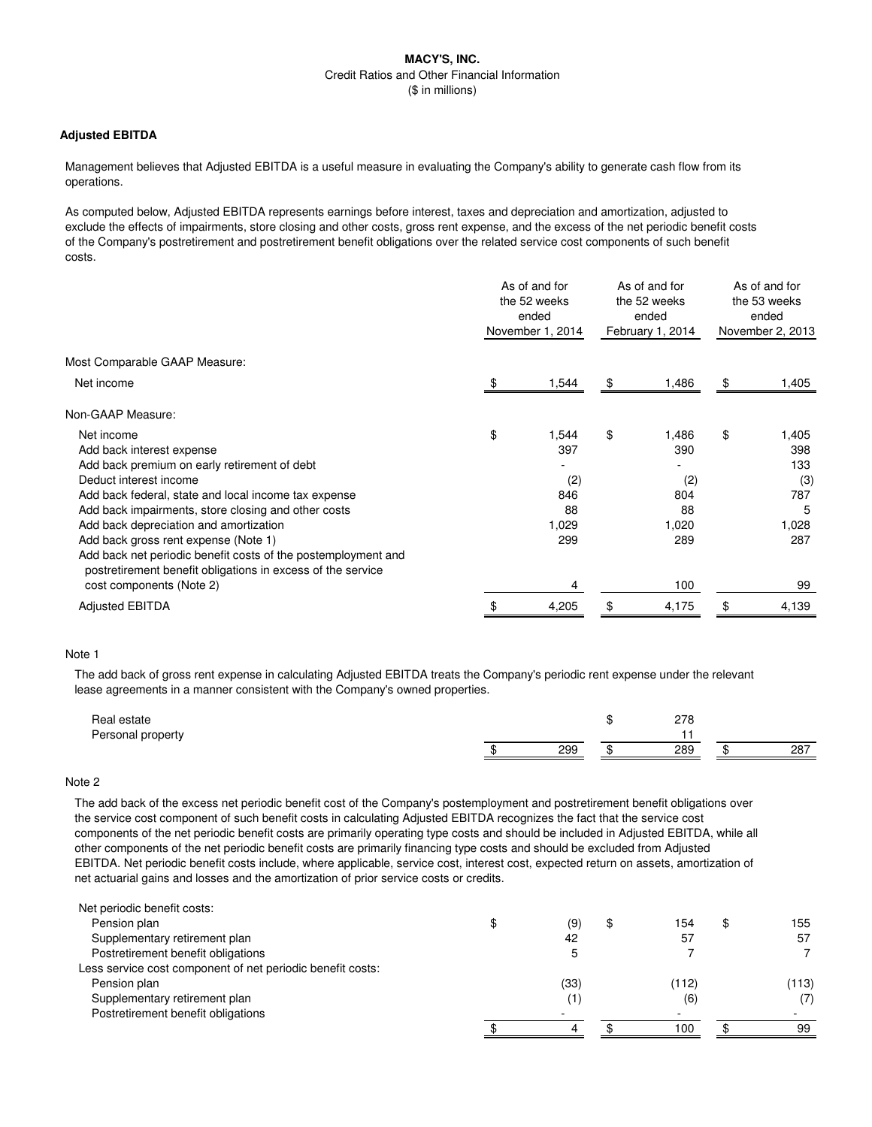## **Adjusted EBITDA**

Management believes that Adjusted EBITDA is a useful measure in evaluating the Company's ability to generate cash flow from its operations.

As computed below, Adjusted EBITDA represents earnings before interest, taxes and depreciation and amortization, adjusted to exclude the effects of impairments, store closing and other costs, gross rent expense, and the excess of the net periodic benefit costs of the Company's postretirement and postretirement benefit obligations over the related service cost components of such benefit costs.

|                                                                                                                              | As of and for<br>the 52 weeks<br>ended<br>November 1, 2014 | As of and for<br>the 52 weeks<br>ended<br>February 1, 2014 | As of and for<br>the 53 weeks<br>ended<br>November 2, 2013 |
|------------------------------------------------------------------------------------------------------------------------------|------------------------------------------------------------|------------------------------------------------------------|------------------------------------------------------------|
| Most Comparable GAAP Measure:                                                                                                |                                                            |                                                            |                                                            |
| Net income                                                                                                                   | 1,544                                                      | \$<br>1,486                                                | \$<br>1,405                                                |
| Non-GAAP Measure:                                                                                                            |                                                            |                                                            |                                                            |
| Net income                                                                                                                   | \$<br>1,544                                                | \$<br>1,486                                                | \$<br>1,405                                                |
| Add back interest expense                                                                                                    | 397                                                        | 390                                                        | 398                                                        |
| Add back premium on early retirement of debt                                                                                 |                                                            |                                                            | 133                                                        |
| Deduct interest income                                                                                                       | (2)                                                        | (2)                                                        | (3)                                                        |
| Add back federal, state and local income tax expense                                                                         | 846                                                        | 804                                                        | 787                                                        |
| Add back impairments, store closing and other costs                                                                          | 88                                                         | 88                                                         | 5                                                          |
| Add back depreciation and amortization                                                                                       | 1,029                                                      | 1,020                                                      | 1,028                                                      |
| Add back gross rent expense (Note 1)                                                                                         | 299                                                        | 289                                                        | 287                                                        |
| Add back net periodic benefit costs of the postemployment and<br>postretirement benefit obligations in excess of the service |                                                            |                                                            |                                                            |
| cost components (Note 2)                                                                                                     | 4                                                          | 100                                                        | 99                                                         |
| <b>Adjusted EBITDA</b>                                                                                                       | \$<br>4,205                                                | \$<br>4,175                                                | \$<br>4,139                                                |

## Note 1

The add back of gross rent expense in calculating Adjusted EBITDA treats the Company's periodic rent expense under the relevant lease agreements in a manner consistent with the Company's owned properties.

| Real estate<br>Personal property |     | 770<br>ہ ، ے |     |
|----------------------------------|-----|--------------|-----|
|                                  | 299 | 289          | 287 |
|                                  |     |              |     |

## Note 2

The add back of the excess net periodic benefit cost of the Company's postemployment and postretirement benefit obligations over the service cost component of such benefit costs in calculating Adjusted EBITDA recognizes the fact that the service cost components of the net periodic benefit costs are primarily operating type costs and should be included in Adjusted EBITDA, while all other components of the net periodic benefit costs are primarily financing type costs and should be excluded from Adjusted EBITDA. Net periodic benefit costs include, where applicable, service cost, interest cost, expected return on assets, amortization of net actuarial gains and losses and the amortization of prior service costs or credits.

| Net periodic benefit costs:                                |      |   |       |           |
|------------------------------------------------------------|------|---|-------|-----------|
| Pension plan                                               | (9)  | Œ | 154   | \$<br>155 |
| Supplementary retirement plan                              | 42   |   | 57    | 57        |
| Postretirement benefit obligations                         |      |   |       |           |
| Less service cost component of net periodic benefit costs: |      |   |       |           |
| Pension plan                                               | (33) |   | (112) | (113)     |
| Supplementary retirement plan                              | (1)  |   | (6)   | (7)       |
| Postretirement benefit obligations                         |      |   |       |           |
|                                                            |      |   | 100   | 99        |
|                                                            |      |   |       |           |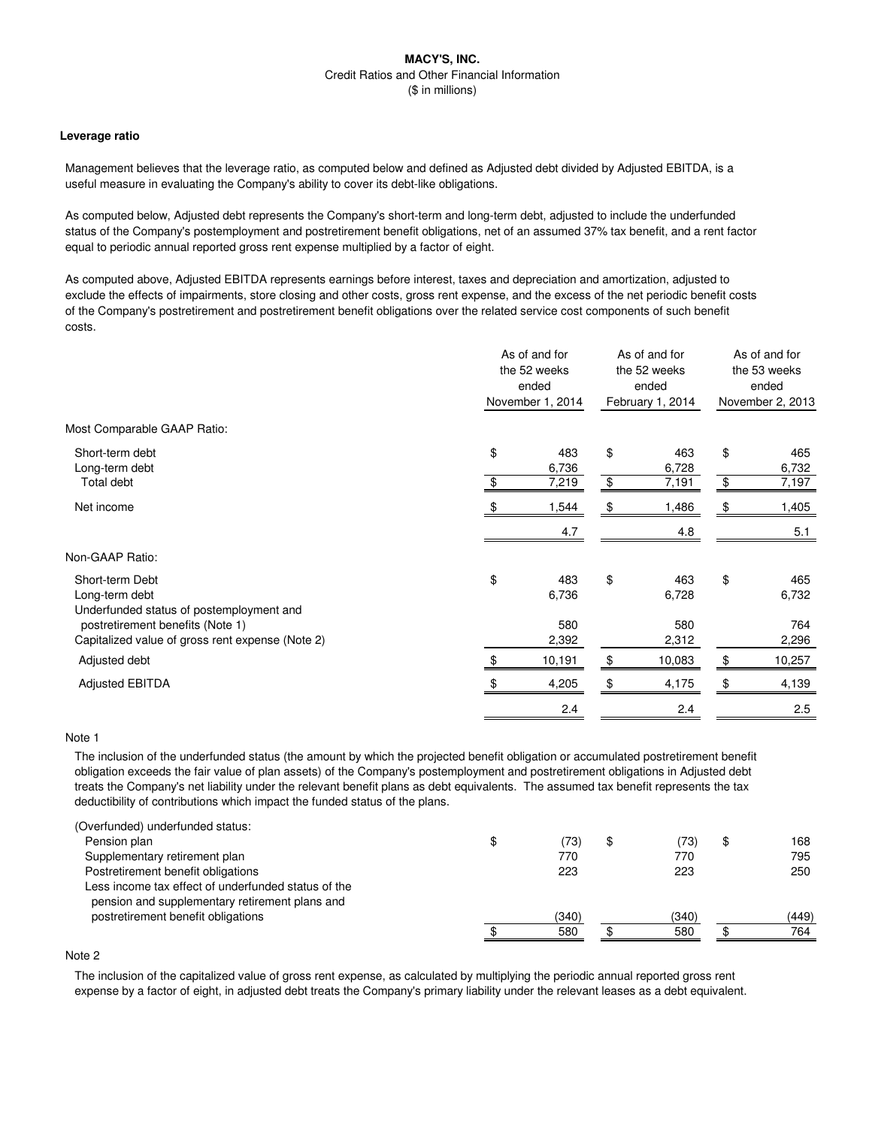#### **Leverage ratio**

Management believes that the leverage ratio, as computed below and defined as Adjusted debt divided by Adjusted EBITDA, is a useful measure in evaluating the Company's ability to cover its debt-like obligations.

As computed below, Adjusted debt represents the Company's short-term and long-term debt, adjusted to include the underfunded status of the Company's postemployment and postretirement benefit obligations, net of an assumed 37% tax benefit, and a rent factor equal to periodic annual reported gross rent expense multiplied by a factor of eight.

As computed above, Adjusted EBITDA represents earnings before interest, taxes and depreciation and amortization, adjusted to exclude the effects of impairments, store closing and other costs, gross rent expense, and the excess of the net periodic benefit costs of the Company's postretirement and postretirement benefit obligations over the related service cost components of such benefit costs.

| November 1, 2014<br>February 1, 2014<br>November 2, 2013<br>Most Comparable GAAP Ratio:<br>\$<br>\$<br>\$<br>Short-term debt<br>463<br>483<br>Long-term debt<br>6,736<br>6,728<br>\$<br>\$<br>Total debt<br>7,219<br>7,191<br>Net income<br>1,544<br>1,486<br>\$<br>\$<br>4.7<br>4.8<br>Non-GAAP Ratio:<br>\$<br>\$<br>\$<br>Short-term Debt<br>483<br>463<br>Long-term debt<br>6,736<br>6,728<br>Underfunded status of postemployment and<br>postretirement benefits (Note 1)<br>580<br>580<br>Capitalized value of gross rent expense (Note 2)<br>2,392<br>2,312<br>\$<br>Adjusted debt<br>10,191<br>10,083<br>\$<br>- \$<br>\$<br><b>Adjusted EBITDA</b><br>4,205<br>4,175<br>\$ |  | As of and for<br>the 52 weeks<br>ended |     | As of and for<br>the 52 weeks<br>ended | As of and for<br>the 53 weeks<br>ended |
|-------------------------------------------------------------------------------------------------------------------------------------------------------------------------------------------------------------------------------------------------------------------------------------------------------------------------------------------------------------------------------------------------------------------------------------------------------------------------------------------------------------------------------------------------------------------------------------------------------------------------------------------------------------------------------------|--|----------------------------------------|-----|----------------------------------------|----------------------------------------|
|                                                                                                                                                                                                                                                                                                                                                                                                                                                                                                                                                                                                                                                                                     |  |                                        |     |                                        |                                        |
|                                                                                                                                                                                                                                                                                                                                                                                                                                                                                                                                                                                                                                                                                     |  |                                        |     |                                        |                                        |
|                                                                                                                                                                                                                                                                                                                                                                                                                                                                                                                                                                                                                                                                                     |  |                                        |     |                                        | 465<br>6,732                           |
|                                                                                                                                                                                                                                                                                                                                                                                                                                                                                                                                                                                                                                                                                     |  |                                        |     |                                        | 7,197                                  |
|                                                                                                                                                                                                                                                                                                                                                                                                                                                                                                                                                                                                                                                                                     |  |                                        |     |                                        | 1,405                                  |
|                                                                                                                                                                                                                                                                                                                                                                                                                                                                                                                                                                                                                                                                                     |  |                                        |     |                                        | 5.1                                    |
|                                                                                                                                                                                                                                                                                                                                                                                                                                                                                                                                                                                                                                                                                     |  |                                        |     |                                        |                                        |
|                                                                                                                                                                                                                                                                                                                                                                                                                                                                                                                                                                                                                                                                                     |  |                                        |     |                                        | 465<br>6,732                           |
|                                                                                                                                                                                                                                                                                                                                                                                                                                                                                                                                                                                                                                                                                     |  |                                        |     |                                        | 764<br>2,296                           |
|                                                                                                                                                                                                                                                                                                                                                                                                                                                                                                                                                                                                                                                                                     |  |                                        |     |                                        | 10,257                                 |
|                                                                                                                                                                                                                                                                                                                                                                                                                                                                                                                                                                                                                                                                                     |  |                                        |     |                                        | 4,139                                  |
|                                                                                                                                                                                                                                                                                                                                                                                                                                                                                                                                                                                                                                                                                     |  |                                        | 2.4 | 2.4                                    | 2.5                                    |

## Note 1

The inclusion of the underfunded status (the amount by which the projected benefit obligation or accumulated postretirement benefit obligation exceeds the fair value of plan assets) of the Company's postemployment and postretirement obligations in Adjusted debt treats the Company's net liability under the relevant benefit plans as debt equivalents. The assumed tax benefit represents the tax deductibility of contributions which impact the funded status of the plans.

| \$<br>(73) | \$<br>(73) | \$<br>168 |
|------------|------------|-----------|
| 770        | 770        | 795       |
| 223        | 223        | 250       |
|            |            |           |
| (340)      | (340)      | (449)     |
| 580        | 580        | 764       |
|            |            |           |

# Note 2

The inclusion of the capitalized value of gross rent expense, as calculated by multiplying the periodic annual reported gross rent expense by a factor of eight, in adjusted debt treats the Company's primary liability under the relevant leases as a debt equivalent.